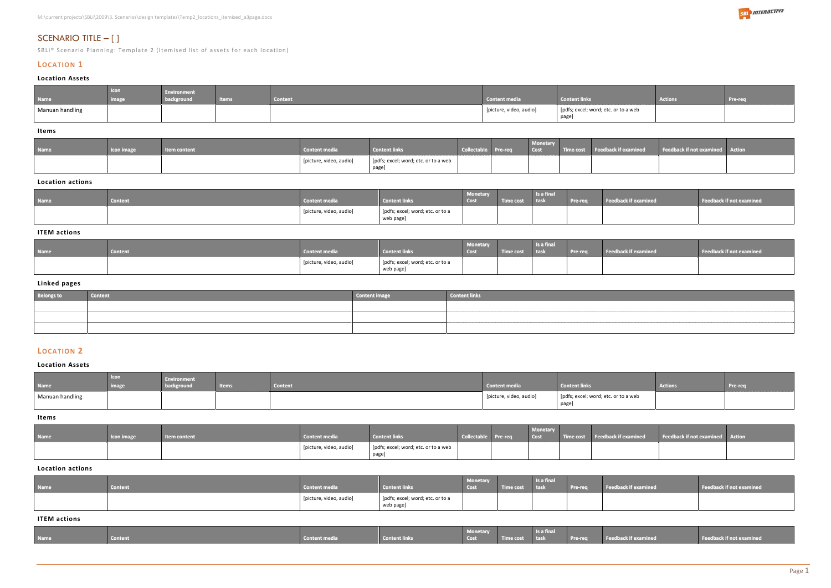# SCENARIO TITLE – [ ]

SBLi® Scenario Planning: Template 2 (Itemised list of assets for each location)

# **LOCATION 1**

# **Location Assets**

| <b>Name</b>     | <b>Icon</b><br>1000000 | <b>Environment</b><br>background | <b><i>Contractor</i></b><br>пешк | <b><i>Contact</i></b><br>content | <b>Content media</b>    | <b>Atent links</b>                            | Actions | Pre-req |
|-----------------|------------------------|----------------------------------|----------------------------------|----------------------------------|-------------------------|-----------------------------------------------|---------|---------|
| Manuan handling |                        |                                  |                                  |                                  | [picture, video, audio] | [pdfs; excel; word; etc. or to a web<br>page] |         |         |

#### **Items**

| <b>Name</b> | <b>Icon image</b> | tem content | <b>Content media</b>    | <b>Content links</b>                         | Collectable Pre-req | <b>Monetary</b><br><b>Cost</b> | Feedback if examined | <b>Example 1 Feedback if not examined</b> Action |  |
|-------------|-------------------|-------------|-------------------------|----------------------------------------------|---------------------|--------------------------------|----------------------|--------------------------------------------------|--|
|             |                   |             | [picture, video, audio] | [pdfs; excel; word; etc. or to a web<br>page |                     |                                |                      |                                                  |  |

## **Location actions**

| <b>Name</b> | <b>Content</b> | <b>Content media</b>    | <b>Content links</b>                          | <b>Monetary</b><br><b>Cost</b> | Time cost | Is a final<br><b>tas</b> | <b>Pre-req</b> | <b>Feedback if examined</b> | Feedback if not examined |
|-------------|----------------|-------------------------|-----------------------------------------------|--------------------------------|-----------|--------------------------|----------------|-----------------------------|--------------------------|
|             |                | [picture, video, audio] | [pdfs; excel; word; etc. or to a<br>web page] |                                |           |                          |                |                             |                          |

# **ITEM actions**

| <b>Name</b> | <b>Content</b> | Content media           | <b>Content links</b>                          | <b>Monetary</b><br><b>COSL</b> | me cos | Is a final<br>task | <b>The Company's Company's Company's Company's</b><br>$\blacksquare$ rre-re $\blacksquare$ | Feedback if examined | eedback if not examined |
|-------------|----------------|-------------------------|-----------------------------------------------|--------------------------------|--------|--------------------|--------------------------------------------------------------------------------------------|----------------------|-------------------------|
|             |                | [picture, video, audio] | [pdfs; excel; word; etc. or to a<br>web page] |                                |        |                    |                                                                                            |                      |                         |

# **Linked pages**

| <b>Belongs to</b> | <b>Content</b> | <b>Content image</b> | <b>Content links</b> |
|-------------------|----------------|----------------------|----------------------|
|                   |                |                      |                      |
|                   |                |                      |                      |
|                   |                |                      |                      |

# **LOCATION 2**

# **Location Assets**

| <b>Name</b>     | <b>L</b> Icon<br><b>image</b> | <b>Environment</b><br>background | <b>Antonio</b><br>GIID | <b>Content</b> | <b>Content media</b>    | <b>Content links</b>                          | <b>Actions</b> | Pre-req |
|-----------------|-------------------------------|----------------------------------|------------------------|----------------|-------------------------|-----------------------------------------------|----------------|---------|
| Manuan handling |                               |                                  |                        |                | [picture, video, audio] | [pdfs; excel; word; etc. or to a web<br>page] |                |         |

**Items**

| <b>Name</b> | <b>Icon image</b> | <b>Item content</b> | <b>Content media</b>    | Content links                                  | Collectable Pre-req | <b>Monetary</b><br>Cost | Time cost Feedback if examined | <b>Example 2 Feedback if not examined</b> Action |  |
|-------------|-------------------|---------------------|-------------------------|------------------------------------------------|---------------------|-------------------------|--------------------------------|--------------------------------------------------|--|
|             |                   |                     | [picture, video, audio] | [pdfs; excel; word; etc. or to a web]<br>page] |                     |                         |                                |                                                  |  |

#### **Location actions**

| <b>Name</b> | <b>Content</b> | <b>Content media</b>    | <b>Content links</b>                          | <b>Monetary</b><br>Cost | <b>Time cost</b> | Is a final<br><b>task</b> | Pre-req | Feedback if examined | Feedback if not examined |
|-------------|----------------|-------------------------|-----------------------------------------------|-------------------------|------------------|---------------------------|---------|----------------------|--------------------------|
|             |                | [picture, video, audio] | [pdfs; excel; word; etc. or to a<br>web page] |                         |                  |                           |         |                      |                          |

#### **ITEM actions**

|             |                |               |                      | <b>Monetary</b> | <b>Is a final</b> |                                              |                          |
|-------------|----------------|---------------|----------------------|-----------------|-------------------|----------------------------------------------|--------------------------|
| <b>Name</b> | <b>Content</b> | Content media | <b>Content links</b> | Cost            | Time cost task    | <b>Examined Pre-req Feedback if examined</b> | Feedback if not examined |